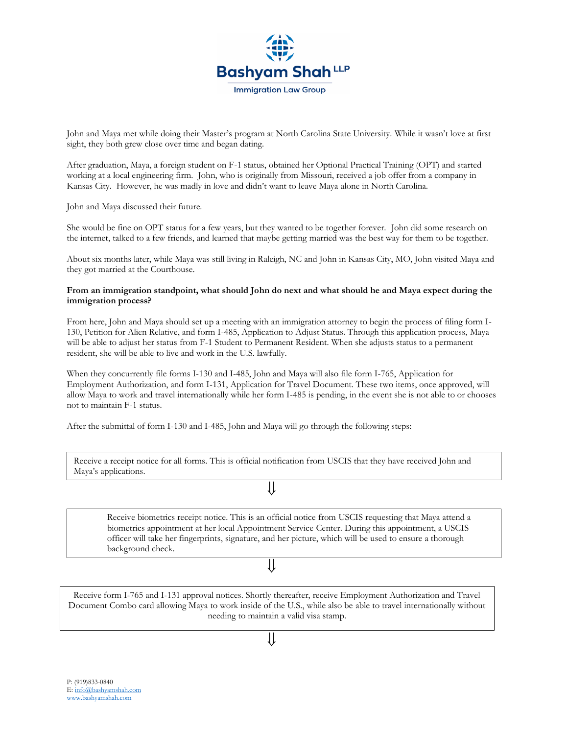

John and Maya met while doing their Master's program at North Carolina State University. While it wasn't love at first sight, they both grew close over time and began dating.

After graduation, Maya, a foreign student on F-1 status, obtained her Optional Practical Training (OPT) and started working at a local engineering firm. John, who is originally from Missouri, received a job offer from a company in Kansas City. However, he was madly in love and didn't want to leave Maya alone in North Carolina.

John and Maya discussed their future.

She would be fine on OPT status for a few years, but they wanted to be together forever. John did some research on the internet, talked to a few friends, and learned that maybe getting married was the best way for them to be together.

About six months later, while Maya was still living in Raleigh, NC and John in Kansas City, MO, John visited Maya and they got married at the Courthouse.

## **From an immigration standpoint, what should John do next and what should he and Maya expect during the immigration process?**

From here, John and Maya should set up a meeting with an immigration attorney to begin the process of filing form I-130, Petition for Alien Relative, and form I-485, Application to Adjust Status. Through this application process, Maya will be able to adjust her status from F-1 Student to Permanent Resident. When she adjusts status to a permanent resident, she will be able to live and work in the U.S. lawfully.

When they concurrently file forms I-130 and I-485, John and Maya will also file form I-765, Application for Employment Authorization, and form I-131, Application for Travel Document. These two items, once approved, will allow Maya to work and travel internationally while her form I-485 is pending, in the event she is not able to or chooses not to maintain F-1 status.

After the submittal of form I-130 and I-485, John and Maya will go through the following steps:

Receive a receipt notice for all forms. This is official notification from USCIS that they have received John and Maya's applications.

⇓

Receive biometrics receipt notice. This is an official notice from USCIS requesting that Maya attend a biometrics appointment at her local Appointment Service Center. During this appointment, a USCIS officer will take her fingerprints, signature, and her picture, which will be used to ensure a thorough background check.

## ⇓

Receive form I-765 and I-131 approval notices. Shortly thereafter, receive Employment Authorization and Travel Document Combo card allowing Maya to work inside of the U.S., while also be able to travel internationally without needing to maintain a valid visa stamp.